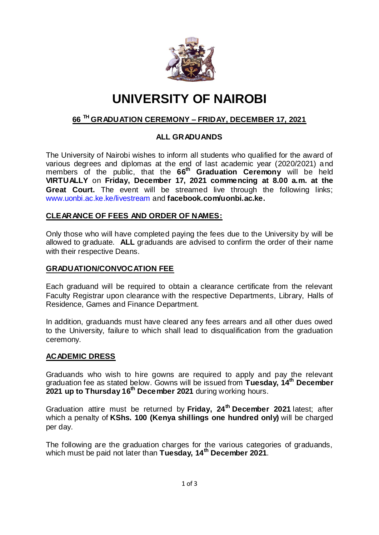

# **UNIVERSITY OF NAIROBI**

# **66 TH GRADUATION CEREMONY – FRIDAY, DECEMBER 17, 2021**

## **ALL GRADUANDS**

The University of Nairobi wishes to inform all students who qualified for the award of various degrees and diplomas at the end of last academic year (2020/2021) and members of the public, that the **66 th Graduation Ceremony** will be held **VIRTUALLY** on **Friday, December 17, 2021 commencing at 8.00 a.m. at the Great Court.** The event will be streamed live through the following links; [www.uonbi.ac.ke.ke/livestream](http://www.uonbi.ac.ke.ke/livestream) and **facebook.com/uonbi.ac.ke.**

### **CLEARANCE OF FEES AND ORDER OF NAMES:**

Only those who will have completed paying the fees due to the University by will be allowed to graduate. **ALL** graduands are advised to confirm the order of their name with their respective Deans.

#### **GRADUATION/CONVOCATION FEE**

Each graduand will be required to obtain a clearance certificate from the relevant Faculty Registrar upon clearance with the respective Departments, Library, Halls of Residence, Games and Finance Department.

In addition, graduands must have cleared any fees arrears and all other dues owed to the University, failure to which shall lead to disqualification from the graduation ceremony.

#### **ACADEMIC DRESS**

Graduands who wish to hire gowns are required to apply and pay the relevant graduation fee as stated below. Gowns will be issued from **Tuesday, 14 th December 2021 up to Thursday 16th December 2021** during working hours.

Graduation attire must be returned by **Friday, 24th December 2021** latest; after which a penalty of **KShs. 100 (Kenya shillings one hundred only)** will be charged per day.

The following are the graduation charges for the various categories of graduands, which must be paid not later than **Tuesday, 14th December 2021**.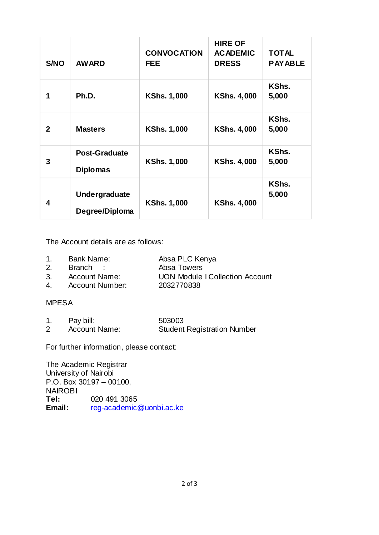| <b>S/NO</b>  | <b>AWARD</b>                            | <b>CONVOCATION</b><br><b>FEE</b> | <b>HIRE OF</b><br><b>ACADEMIC</b><br><b>DRESS</b> | <b>TOTAL</b><br><b>PAYABLE</b> |
|--------------|-----------------------------------------|----------------------------------|---------------------------------------------------|--------------------------------|
| 1            | Ph.D.                                   | <b>KShs. 1,000</b>               | <b>KShs. 4,000</b>                                | KShs.<br>5,000                 |
| $\mathbf{2}$ | <b>Masters</b>                          | <b>KShs. 1,000</b>               | <b>KShs. 4,000</b>                                | KShs.<br>5,000                 |
| 3            | <b>Post-Graduate</b><br><b>Diplomas</b> | <b>KShs. 1,000</b>               | <b>KShs. 4,000</b>                                | KShs.<br>5,000                 |
| 4            | <b>Undergraduate</b><br>Degree/Diploma  | <b>KShs. 1,000</b>               | <b>KShs. 4,000</b>                                | KShs.<br>5,000                 |

The Account details are as follows:

- 1. Bank Name: Absa PLC Kenya
	-
- 2. Branch : Absa Towers
- 3. Account Name: UON Module I Collection Account
- 4. Account Number: 2032770838

#### MPESA

1. Pay bill: 503003 2 Account Name: Student Registration Number

For further information, please contact:

The Academic Registrar University of Nairobi P.O. Box 30197 – 00100, NAIROBI **Tel:** 020 491 3065<br> **Email:** reg-academic **Email:** [reg-academic@uonbi.ac.ke](mailto:reg-academic@uonbi.ac.ke)